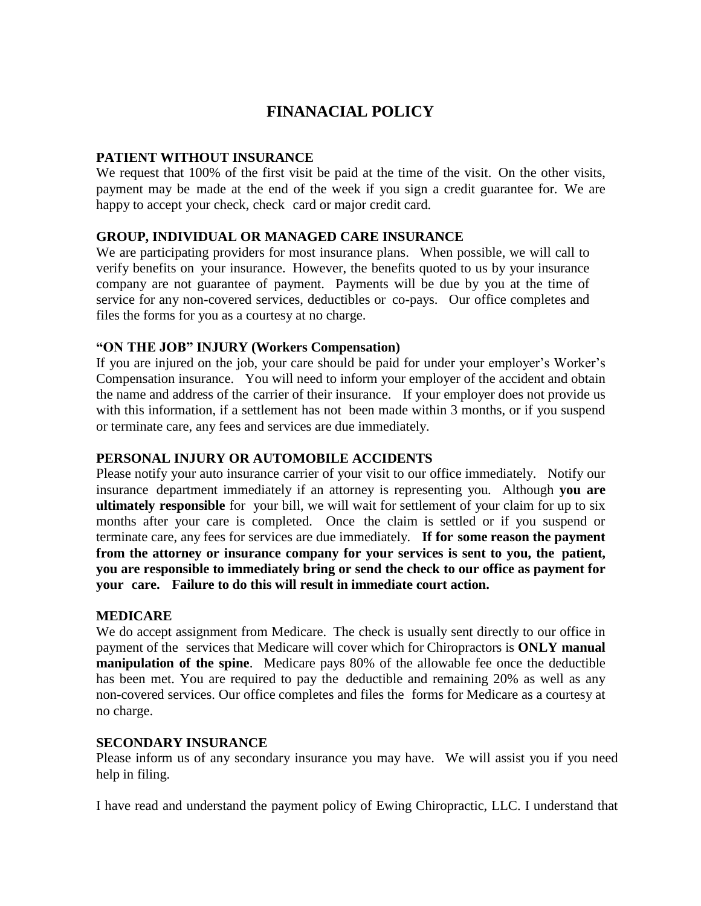# **FINANACIAL POLICY**

#### **PATIENT WITHOUT INSURANCE**

We request that 100% of the first visit be paid at the time of the visit. On the other visits, payment may be made at the end of the week if you sign a credit guarantee for. We are happy to accept your check, check card or major credit card.

## **GROUP, INDIVIDUAL OR MANAGED CARE INSURANCE**

We are participating providers for most insurance plans. When possible, we will call to verify benefits on your insurance. However, the benefits quoted to us by your insurance company are not guarantee of payment. Payments will be due by you at the time of service for any non-covered services, deductibles or co-pays. Our office completes and files the forms for you as a courtesy at no charge.

## **"ON THE JOB" INJURY (Workers Compensation)**

If you are injured on the job, your care should be paid for under your employer's Worker's Compensation insurance. You will need to inform your employer of the accident and obtain the name and address of the carrier of their insurance. If your employer does not provide us with this information, if a settlement has not been made within 3 months, or if you suspend or terminate care, any fees and services are due immediately.

## **PERSONAL INJURY OR AUTOMOBILE ACCIDENTS**

Please notify your auto insurance carrier of your visit to our office immediately. Notify our insurance department immediately if an attorney is representing you. Although **you are ultimately responsible** for your bill, we will wait for settlement of your claim for up to six months after your care is completed. Once the claim is settled or if you suspend or terminate care, any fees for services are due immediately. **If for some reason the payment from the attorney or insurance company for your services is sent to you, the patient, you are responsible to immediately bring or send the check to our office as payment for your care. Failure to do this will result in immediate court action.**

#### **MEDICARE**

We do accept assignment from Medicare. The check is usually sent directly to our office in payment of the services that Medicare will cover which for Chiropractors is **ONLY manual manipulation of the spine**. Medicare pays 80% of the allowable fee once the deductible has been met. You are required to pay the deductible and remaining 20% as well as any non-covered services. Our office completes and files the forms for Medicare as a courtesy at no charge.

#### **SECONDARY INSURANCE**

Please inform us of any secondary insurance you may have. We will assist you if you need help in filing.

I have read and understand the payment policy of Ewing Chiropractic, LLC. I understand that